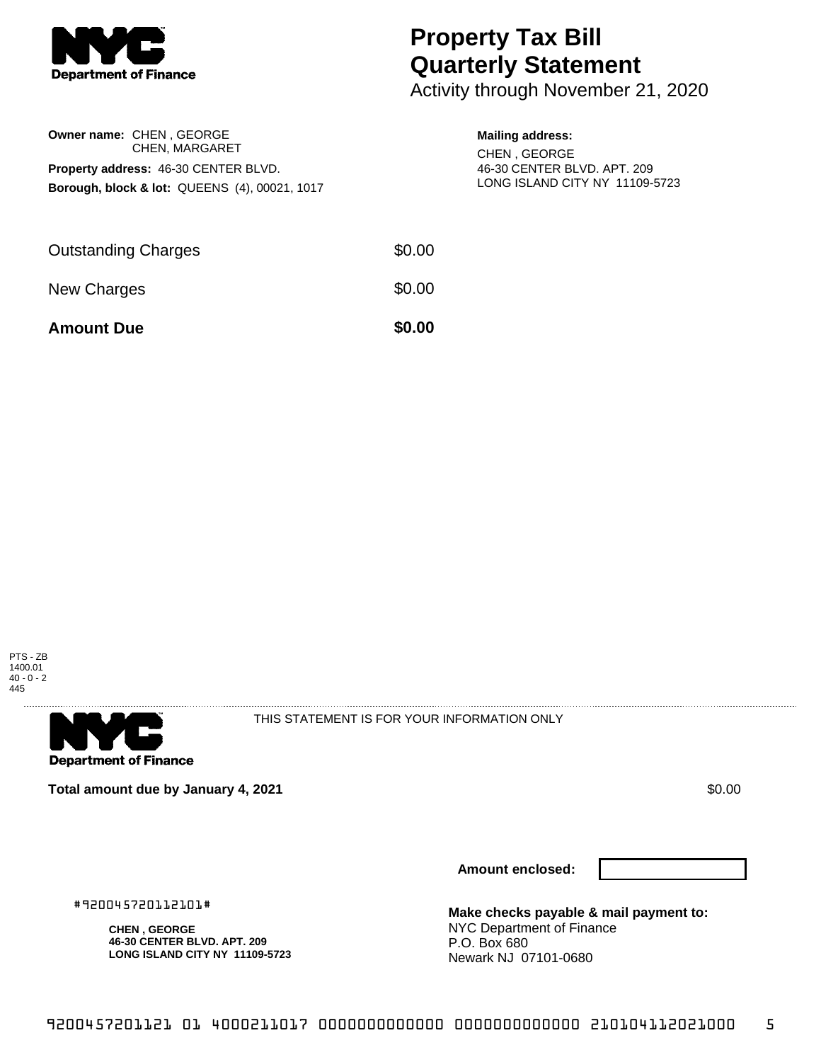

**Owner name:** CHEN , GEORGE

CHEN, MARGARET

**Borough, block & lot:** QUEENS (4), 00021, 1017

**Property address:** 46-30 CENTER BLVD.

## **Property Tax Bill Quarterly Statement**

Activity through November 21, 2020

## **Mailing address:**

CHEN , GEORGE 46-30 CENTER BLVD. APT. 209 LONG ISLAND CITY NY 11109-5723

| <b>Amount Due</b>          | \$0.00 |
|----------------------------|--------|
| New Charges                | \$0.00 |
| <b>Outstanding Charges</b> | \$0.00 |





THIS STATEMENT IS FOR YOUR INFORMATION ONLY

**Total amount due by January 4, 2021** \$0.00

#920045720112101#

**CHEN , GEORGE**

**46-30 CENTER BLVD. APT. 209 LONG ISLAND CITY NY 11109-5723**

**Amount enclosed:**

**Make checks payable & mail payment to:** NYC Department of Finance P.O. Box 680 Newark NJ 07101-0680